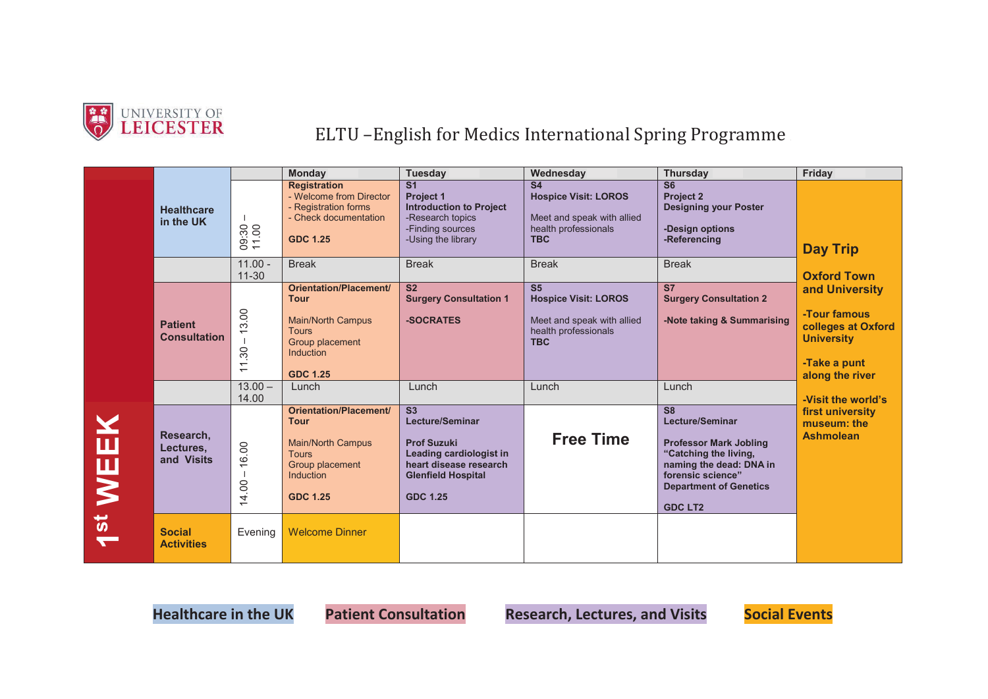

## UNIVERSITY OF<br>
LEICESTER
ELTU –English for Medics International Spring Programme

|                  |                                       |                                                                      | Monday                                                                                                                                      | <b>Tuesday</b>                                                                                                                                                              | Wednesday                                                                                                         | <b>Thursday</b>                                                                                                                                                                                        | Friday                                                                                                                             |
|------------------|---------------------------------------|----------------------------------------------------------------------|---------------------------------------------------------------------------------------------------------------------------------------------|-----------------------------------------------------------------------------------------------------------------------------------------------------------------------------|-------------------------------------------------------------------------------------------------------------------|--------------------------------------------------------------------------------------------------------------------------------------------------------------------------------------------------------|------------------------------------------------------------------------------------------------------------------------------------|
|                  | <b>Healthcare</b><br>in the UK        | 09:30<br>11.00                                                       | <b>Registration</b><br>- Welcome from Director<br>- Registration forms<br>- Check documentation<br><b>GDC 1.25</b>                          | $\overline{\mathsf{s}}$ 1<br>Project 1<br><b>Introduction to Project</b><br>-Research topics<br>-Finding sources<br>-Using the library                                      | S <sub>4</sub><br><b>Hospice Visit: LOROS</b><br>Meet and speak with allied<br>health professionals<br><b>TBC</b> | S <sub>6</sub><br>Project 2<br><b>Designing your Poster</b><br>-Design options<br>-Referencing                                                                                                         | <b>Day Trip</b>                                                                                                                    |
|                  |                                       | $11.00 -$<br>$11 - 30$                                               | <b>Break</b>                                                                                                                                | <b>Break</b>                                                                                                                                                                | <b>Break</b>                                                                                                      | <b>Break</b>                                                                                                                                                                                           | <b>Oxford Town</b><br>and University<br>-Tour famous<br>colleges at Oxford<br><b>University</b><br>-Take a punt<br>along the river |
|                  | <b>Patient</b><br><b>Consultation</b> | 3.00<br>$\overline{\phantom{0}}$<br>1.30<br>$\overline{\phantom{0}}$ | Orientation/Placement/<br><b>Tour</b><br><b>Main/North Campus</b><br><b>Tours</b><br>Group placement<br><b>Induction</b><br><b>GDC 1.25</b> | $\overline{\text{S2}}$<br><b>Surgery Consultation 1</b><br>-SOCRATES                                                                                                        | S <sub>5</sub><br><b>Hospice Visit: LOROS</b><br>Meet and speak with allied<br>health professionals<br><b>TBC</b> | $\overline{\text{S7}}$<br><b>Surgery Consultation 2</b><br>-Note taking & Summarising                                                                                                                  |                                                                                                                                    |
|                  |                                       | $13.00 -$<br>14.00                                                   | Lunch                                                                                                                                       | Lunch                                                                                                                                                                       | Lunch                                                                                                             | Lunch                                                                                                                                                                                                  | -Visit the world's                                                                                                                 |
| EK<br><b>NEI</b> | Research,<br>Lectures.<br>and Visits  | 16.00<br>$\overline{\phantom{a}}$<br>14.00                           | Orientation/Placement/<br><b>Tour</b><br><b>Main/North Campus</b><br><b>Tours</b><br>Group placement<br><b>Induction</b><br><b>GDC 1.25</b> | $\overline{\text{S3}}$<br><b>Lecture/Seminar</b><br><b>Prof Suzuki</b><br>Leading cardiologist in<br>heart disease research<br><b>Glenfield Hospital</b><br><b>GDC 1.25</b> | <b>Free Time</b>                                                                                                  | $\overline{\text{S8}}$<br>Lecture/Seminar<br><b>Professor Mark Jobling</b><br>"Catching the living,<br>naming the dead: DNA in<br>forensic science"<br><b>Department of Genetics</b><br><b>GDC LT2</b> | first university<br>museum: the<br><b>Ashmolean</b>                                                                                |
| $\frac{1}{2}$    | <b>Social</b><br><b>Activities</b>    | Evening                                                              | <b>Welcome Dinner</b>                                                                                                                       |                                                                                                                                                                             |                                                                                                                   |                                                                                                                                                                                                        |                                                                                                                                    |

**Healthcare in the UK Patient Consultation Research, Lectures, and Visits Social Events** 

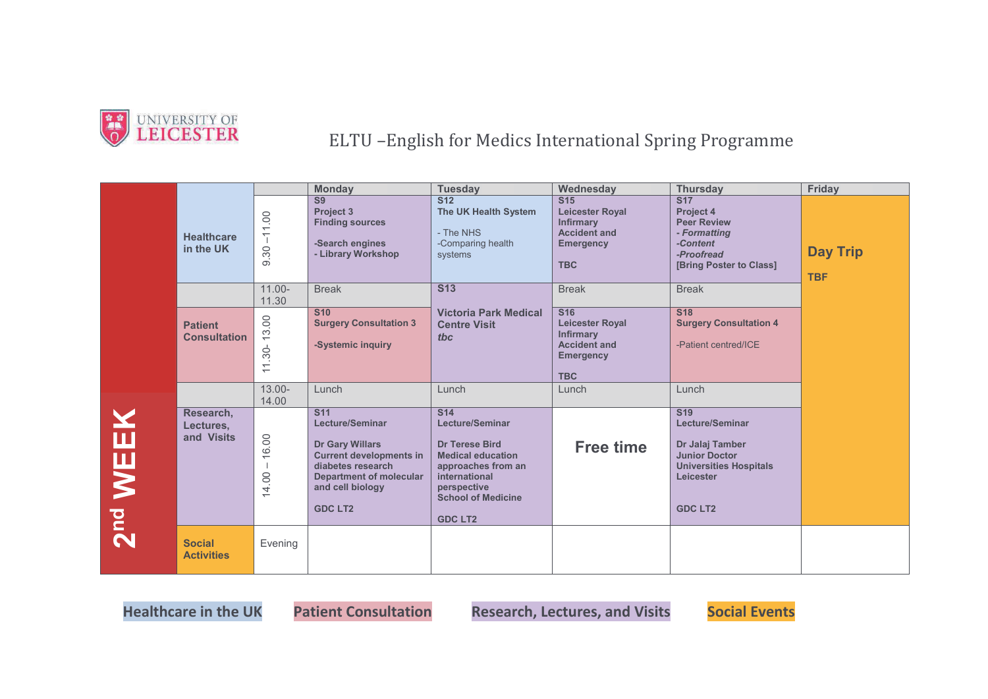

UNIVERSITY OF<br> **LEICESTER** ELTU –English for Medics International Spring Programme

|             |                                       |                                         | <b>Monday</b>                                                                                                                                                                                 | <b>Tuesday</b>                                                                                                                                                                                 | Wednesday                                                                                                                      | <b>Thursday</b>                                                                                                                                 | Friday                        |
|-------------|---------------------------------------|-----------------------------------------|-----------------------------------------------------------------------------------------------------------------------------------------------------------------------------------------------|------------------------------------------------------------------------------------------------------------------------------------------------------------------------------------------------|--------------------------------------------------------------------------------------------------------------------------------|-------------------------------------------------------------------------------------------------------------------------------------------------|-------------------------------|
|             | <b>Healthcare</b><br>in the UK        | $-11.00$<br>9.30                        | S <sub>9</sub><br><b>Project 3</b><br><b>Finding sources</b><br>-Search engines<br>- Library Workshop                                                                                         | $\overline{\text{S}12}$<br>The UK Health System<br>- The NHS<br>-Comparing health<br>systems                                                                                                   | $\overline{\text{S}15}$<br><b>Leicester Royal</b><br><b>Infirmary</b><br><b>Accident and</b><br><b>Emergency</b><br><b>TBC</b> | <b>S17</b><br><b>Project 4</b><br><b>Peer Review</b><br>- Formatting<br>-Content<br>-Proofread<br>[Bring Poster to Class]                       | <b>Day Trip</b><br><b>TBF</b> |
|             |                                       | $11.00 -$<br>11.30                      | <b>Break</b>                                                                                                                                                                                  | <b>S13</b>                                                                                                                                                                                     | <b>Break</b>                                                                                                                   | <b>Break</b>                                                                                                                                    |                               |
|             | <b>Patient</b><br><b>Consultation</b> | 13.00<br>$.30-$<br>$\frac{1}{\sqrt{2}}$ | <b>S10</b><br><b>Surgery Consultation 3</b><br>-Systemic inquiry                                                                                                                              | <b>Victoria Park Medical</b><br><b>Centre Visit</b><br>tbc                                                                                                                                     | $\overline{\text{S}16}$<br><b>Leicester Royal</b><br><b>Infirmary</b><br><b>Accident and</b><br><b>Emergency</b><br><b>TBC</b> | <b>S18</b><br><b>Surgery Consultation 4</b><br>-Patient centred/ICE                                                                             |                               |
|             |                                       | $13.00 -$<br>14.00                      | Lunch                                                                                                                                                                                         | Lunch                                                                                                                                                                                          | Lunch                                                                                                                          | Lunch                                                                                                                                           |                               |
| <b>WEEK</b> | Research,<br>Lectures,<br>and Visits  | 16.00<br>14.00                          | <b>S11</b><br><b>Lecture/Seminar</b><br><b>Dr Gary Willars</b><br><b>Current developments in</b><br>diabetes research<br><b>Department of molecular</b><br>and cell biology<br><b>GDC LT2</b> | <b>S14</b><br><b>Lecture/Seminar</b><br><b>Dr Terese Bird</b><br><b>Medical education</b><br>approaches from an<br>international<br>perspective<br><b>School of Medicine</b><br><b>GDC LT2</b> | <b>Free time</b>                                                                                                               | <b>S19</b><br><b>Lecture/Seminar</b><br>Dr Jalaj Tamber<br><b>Junior Doctor</b><br><b>Universities Hospitals</b><br>Leicester<br><b>GDC LT2</b> |                               |
| <b>Dud</b>  | <b>Social</b><br><b>Activities</b>    | Evening                                 |                                                                                                                                                                                               |                                                                                                                                                                                                |                                                                                                                                |                                                                                                                                                 |                               |

 **Healthcare in the UK Patient Consultation Research, Lectures, and Visits Social Events**